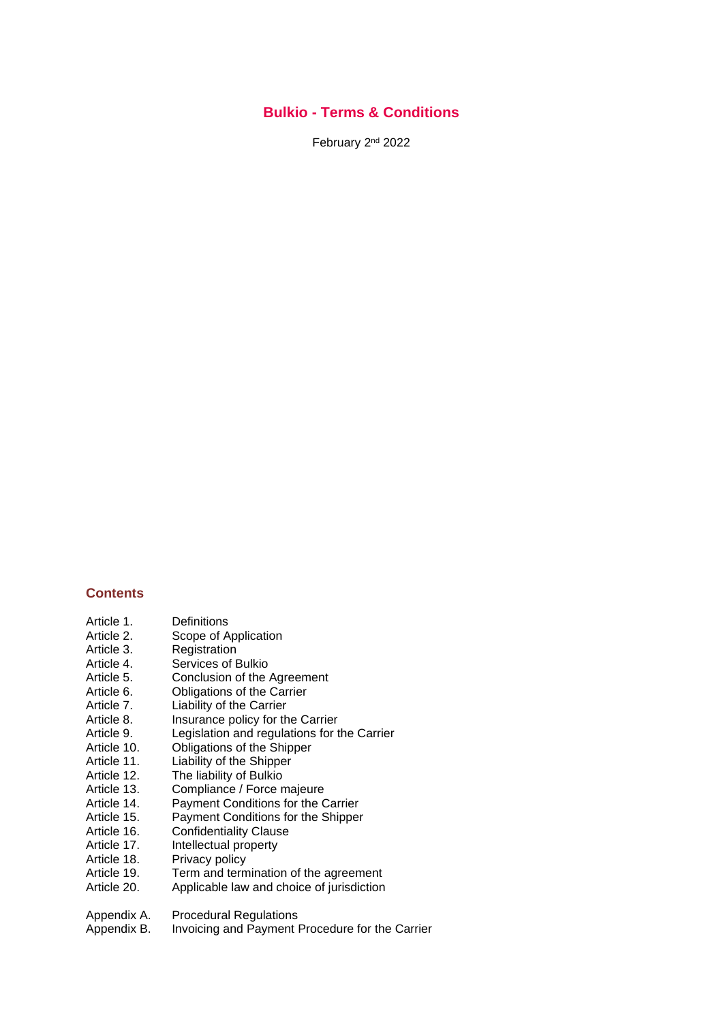### **Bulkio - Terms & Conditions**

February 2<sup>nd</sup> 2022

### **Contents**

- Article 1. Definitions<br>Article 2. Scope of A
- Scope of Application
- Article 3. Registration<br>Article 4. Services of E
- Services of Bulkio
- Article 5. Conclusion of the Agreement
- Article 6. Obligations of the Carrier
- Article 7. Liability of the Carrier
- Article 8. Insurance policy for the Carrier
- Article 9. Legislation and regulations for the Carrier
- Article 10. Obligations of the Shipper
- Article 11. Liability of the Shipper
- Article 12. The liability of Bulkio<br>Article 13. Compliance / Force n
- Article 13. Compliance / Force majeure<br>Article 14. Payment Conditions for the C
- Payment Conditions for the Carrier
- Article 15. Payment Conditions for the Shipper
- Article 16. Confidentiality Clause
- Article 17. Intellectual property
- 
- Article 18. Privacy policy<br>Article 19. Term and term
- Article 19. Term and termination of the agreement<br>Article 20. Applicable law and choice of iurisdiction Applicable law and choice of jurisdiction
- Appendix A. Procedural Regulations
- Appendix B. Invoicing and Payment Procedure for the Carrier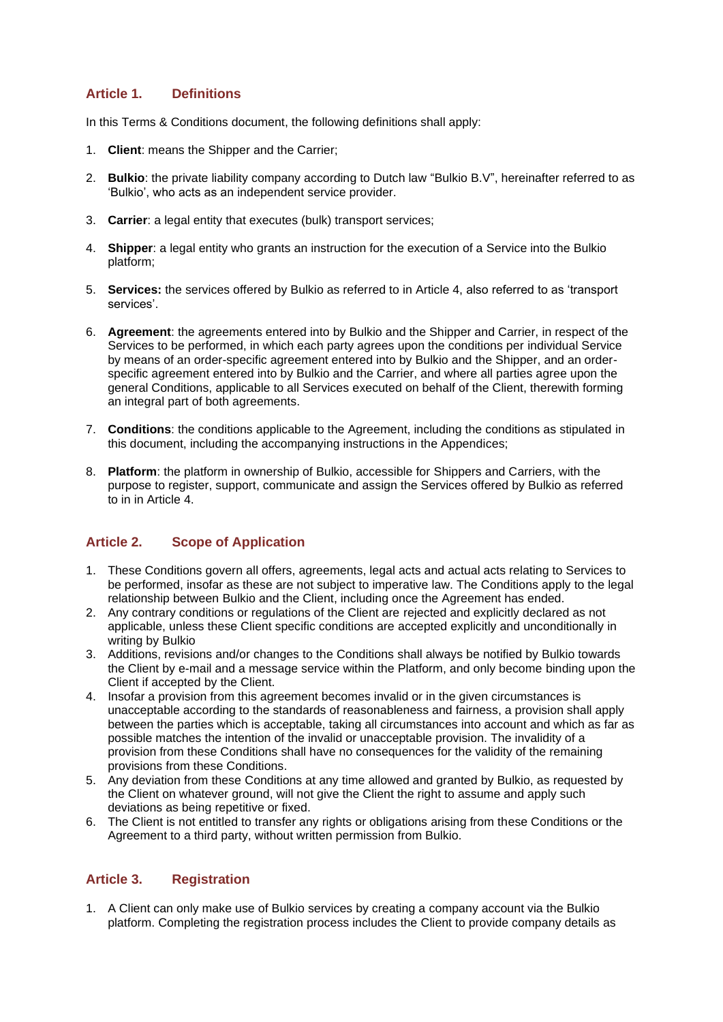## **Article 1. Definitions**

In this Terms & Conditions document, the following definitions shall apply:

- 1. **Client**: means the Shipper and the Carrier;
- 2. **Bulkio**: the private liability company according to Dutch law "Bulkio B.V", hereinafter referred to as 'Bulkio', who acts as an independent service provider.
- 3. **Carrier**: a legal entity that executes (bulk) transport services;
- 4. **Shipper**: a legal entity who grants an instruction for the execution of a Service into the Bulkio platform;
- 5. **Services:** the services offered by Bulkio as referred to in Article 4, also referred to as 'transport services'.
- 6. **Agreement**: the agreements entered into by Bulkio and the Shipper and Carrier, in respect of the Services to be performed, in which each party agrees upon the conditions per individual Service by means of an order-specific agreement entered into by Bulkio and the Shipper, and an orderspecific agreement entered into by Bulkio and the Carrier, and where all parties agree upon the general Conditions, applicable to all Services executed on behalf of the Client, therewith forming an integral part of both agreements.
- 7. **Conditions**: the conditions applicable to the Agreement, including the conditions as stipulated in this document, including the accompanying instructions in the Appendices;
- 8. **Platform**: the platform in ownership of Bulkio, accessible for Shippers and Carriers, with the purpose to register, support, communicate and assign the Services offered by Bulkio as referred to in in Article 4.

### **Article 2. Scope of Application**

- 1. These Conditions govern all offers, agreements, legal acts and actual acts relating to Services to be performed, insofar as these are not subject to imperative law. The Conditions apply to the legal relationship between Bulkio and the Client, including once the Agreement has ended.
- 2. Any contrary conditions or regulations of the Client are rejected and explicitly declared as not applicable, unless these Client specific conditions are accepted explicitly and unconditionally in writing by Bulkio
- 3. Additions, revisions and/or changes to the Conditions shall always be notified by Bulkio towards the Client by e-mail and a message service within the Platform, and only become binding upon the Client if accepted by the Client.
- 4. Insofar a provision from this agreement becomes invalid or in the given circumstances is unacceptable according to the standards of reasonableness and fairness, a provision shall apply between the parties which is acceptable, taking all circumstances into account and which as far as possible matches the intention of the invalid or unacceptable provision. The invalidity of a provision from these Conditions shall have no consequences for the validity of the remaining provisions from these Conditions.
- 5. Any deviation from these Conditions at any time allowed and granted by Bulkio, as requested by the Client on whatever ground, will not give the Client the right to assume and apply such deviations as being repetitive or fixed.
- 6. The Client is not entitled to transfer any rights or obligations arising from these Conditions or the Agreement to a third party, without written permission from Bulkio.

## **Article 3. Registration**

1. A Client can only make use of Bulkio services by creating a company account via the Bulkio platform. Completing the registration process includes the Client to provide company details as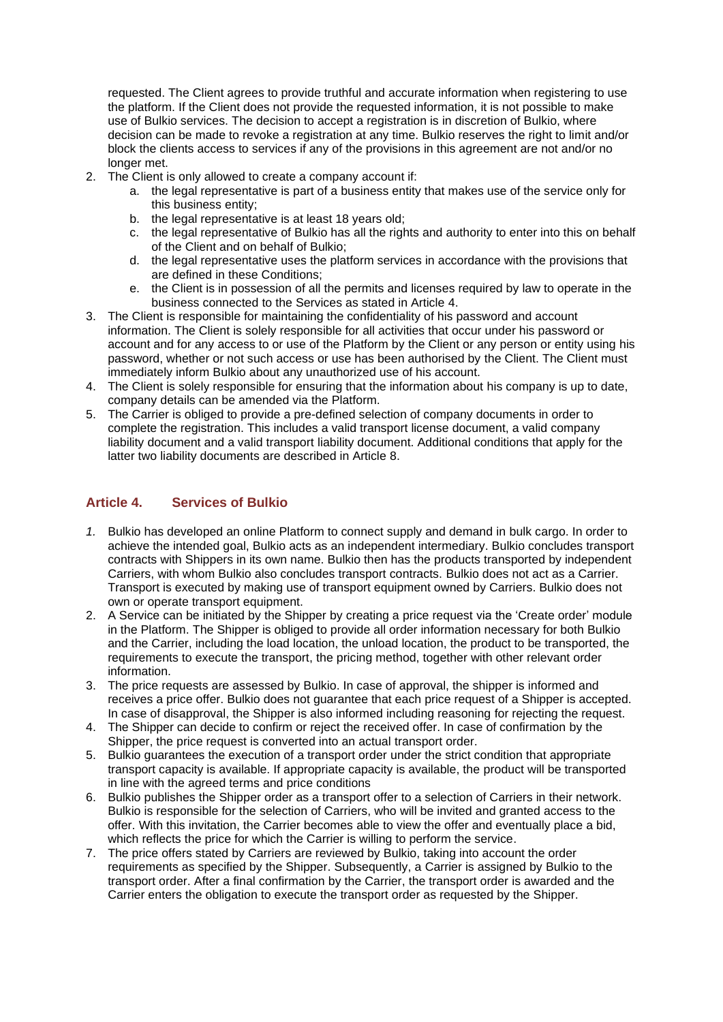requested. The Client agrees to provide truthful and accurate information when registering to use the platform. If the Client does not provide the requested information, it is not possible to make use of Bulkio services. The decision to accept a registration is in discretion of Bulkio, where decision can be made to revoke a registration at any time. Bulkio reserves the right to limit and/or block the clients access to services if any of the provisions in this agreement are not and/or no longer met.

- 2. The Client is only allowed to create a company account if:
	- a. the legal representative is part of a business entity that makes use of the service only for this business entity;
	- b. the legal representative is at least 18 years old;
	- c. the legal representative of Bulkio has all the rights and authority to enter into this on behalf of the Client and on behalf of Bulkio;
	- d. the legal representative uses the platform services in accordance with the provisions that are defined in these Conditions;
	- e. the Client is in possession of all the permits and licenses required by law to operate in the business connected to the Services as stated in Article 4.
- 3. The Client is responsible for maintaining the confidentiality of his password and account information. The Client is solely responsible for all activities that occur under his password or account and for any access to or use of the Platform by the Client or any person or entity using his password, whether or not such access or use has been authorised by the Client. The Client must immediately inform Bulkio about any unauthorized use of his account.
- 4. The Client is solely responsible for ensuring that the information about his company is up to date, company details can be amended via the Platform.
- 5. The Carrier is obliged to provide a pre-defined selection of company documents in order to complete the registration. This includes a valid transport license document, a valid company liability document and a valid transport liability document. Additional conditions that apply for the latter two liability documents are described in Article 8.

## **Article 4. Services of Bulkio**

- *1.* Bulkio has developed an online Platform to connect supply and demand in bulk cargo. In order to achieve the intended goal, Bulkio acts as an independent intermediary. Bulkio concludes transport contracts with Shippers in its own name. Bulkio then has the products transported by independent Carriers, with whom Bulkio also concludes transport contracts. Bulkio does not act as a Carrier. Transport is executed by making use of transport equipment owned by Carriers. Bulkio does not own or operate transport equipment.
- 2. A Service can be initiated by the Shipper by creating a price request via the 'Create order' module in the Platform. The Shipper is obliged to provide all order information necessary for both Bulkio and the Carrier, including the load location, the unload location, the product to be transported, the requirements to execute the transport, the pricing method, together with other relevant order information.
- 3. The price requests are assessed by Bulkio. In case of approval, the shipper is informed and receives a price offer. Bulkio does not guarantee that each price request of a Shipper is accepted. In case of disapproval, the Shipper is also informed including reasoning for rejecting the request.
- 4. The Shipper can decide to confirm or reject the received offer. In case of confirmation by the Shipper, the price request is converted into an actual transport order.
- 5. Bulkio guarantees the execution of a transport order under the strict condition that appropriate transport capacity is available. If appropriate capacity is available, the product will be transported in line with the agreed terms and price conditions
- 6. Bulkio publishes the Shipper order as a transport offer to a selection of Carriers in their network. Bulkio is responsible for the selection of Carriers, who will be invited and granted access to the offer. With this invitation, the Carrier becomes able to view the offer and eventually place a bid, which reflects the price for which the Carrier is willing to perform the service.
- 7. The price offers stated by Carriers are reviewed by Bulkio, taking into account the order requirements as specified by the Shipper. Subsequently, a Carrier is assigned by Bulkio to the transport order. After a final confirmation by the Carrier, the transport order is awarded and the Carrier enters the obligation to execute the transport order as requested by the Shipper.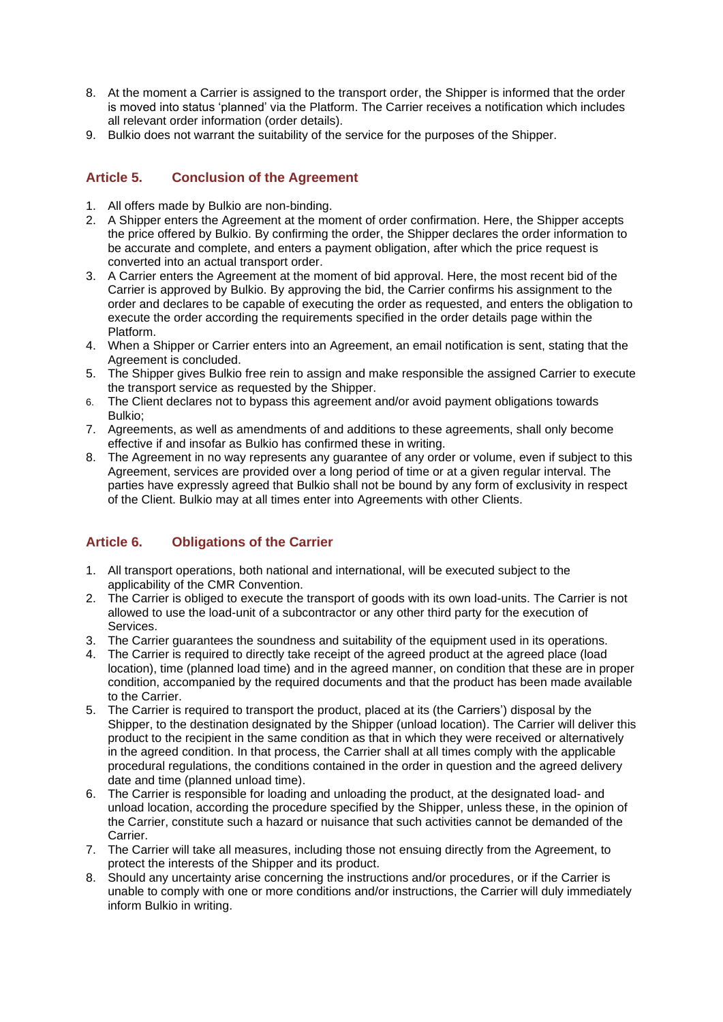- 8. At the moment a Carrier is assigned to the transport order, the Shipper is informed that the order is moved into status 'planned' via the Platform. The Carrier receives a notification which includes all relevant order information (order details).
- 9. Bulkio does not warrant the suitability of the service for the purposes of the Shipper.

## **Article 5. Conclusion of the Agreement**

- 1. All offers made by Bulkio are non-binding.
- 2. A Shipper enters the Agreement at the moment of order confirmation. Here, the Shipper accepts the price offered by Bulkio. By confirming the order, the Shipper declares the order information to be accurate and complete, and enters a payment obligation, after which the price request is converted into an actual transport order.
- 3. A Carrier enters the Agreement at the moment of bid approval. Here, the most recent bid of the Carrier is approved by Bulkio. By approving the bid, the Carrier confirms his assignment to the order and declares to be capable of executing the order as requested, and enters the obligation to execute the order according the requirements specified in the order details page within the Platform.
- 4. When a Shipper or Carrier enters into an Agreement, an email notification is sent, stating that the Agreement is concluded.
- 5. The Shipper gives Bulkio free rein to assign and make responsible the assigned Carrier to execute the transport service as requested by the Shipper.
- 6. The Client declares not to bypass this agreement and/or avoid payment obligations towards Bulkio;
- 7. Agreements, as well as amendments of and additions to these agreements, shall only become effective if and insofar as Bulkio has confirmed these in writing.
- 8. The Agreement in no way represents any guarantee of any order or volume, even if subject to this Agreement, services are provided over a long period of time or at a given regular interval. The parties have expressly agreed that Bulkio shall not be bound by any form of exclusivity in respect of the Client. Bulkio may at all times enter into Agreements with other Clients.

## **Article 6. Obligations of the Carrier**

- 1. All transport operations, both national and international, will be executed subject to the applicability of the CMR Convention.
- 2. The Carrier is obliged to execute the transport of goods with its own load-units. The Carrier is not allowed to use the load-unit of a subcontractor or any other third party for the execution of Services.
- 3. The Carrier guarantees the soundness and suitability of the equipment used in its operations.
- 4. The Carrier is required to directly take receipt of the agreed product at the agreed place (load location), time (planned load time) and in the agreed manner, on condition that these are in proper condition, accompanied by the required documents and that the product has been made available to the Carrier.
- 5. The Carrier is required to transport the product, placed at its (the Carriers') disposal by the Shipper, to the destination designated by the Shipper (unload location). The Carrier will deliver this product to the recipient in the same condition as that in which they were received or alternatively in the agreed condition. In that process, the Carrier shall at all times comply with the applicable procedural regulations, the conditions contained in the order in question and the agreed delivery date and time (planned unload time).
- 6. The Carrier is responsible for loading and unloading the product, at the designated load- and unload location, according the procedure specified by the Shipper, unless these, in the opinion of the Carrier, constitute such a hazard or nuisance that such activities cannot be demanded of the Carrier.
- 7. The Carrier will take all measures, including those not ensuing directly from the Agreement, to protect the interests of the Shipper and its product.
- 8. Should any uncertainty arise concerning the instructions and/or procedures, or if the Carrier is unable to comply with one or more conditions and/or instructions, the Carrier will duly immediately inform Bulkio in writing.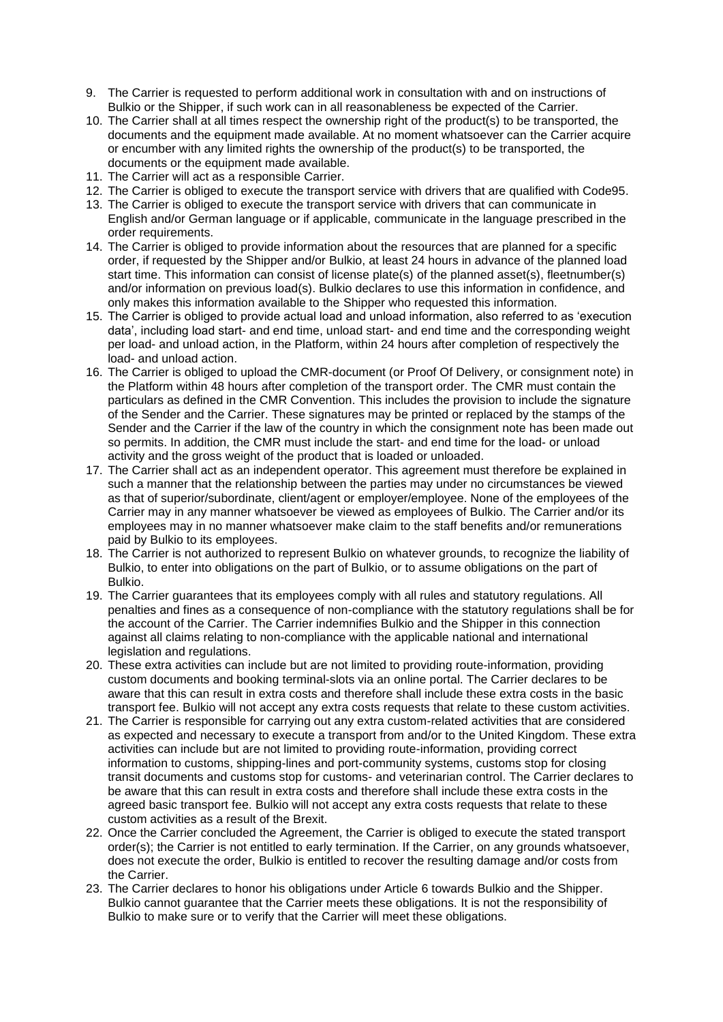- 9. The Carrier is requested to perform additional work in consultation with and on instructions of Bulkio or the Shipper, if such work can in all reasonableness be expected of the Carrier.
- 10. The Carrier shall at all times respect the ownership right of the product(s) to be transported, the documents and the equipment made available. At no moment whatsoever can the Carrier acquire or encumber with any limited rights the ownership of the product(s) to be transported, the documents or the equipment made available.
- 11. The Carrier will act as a responsible Carrier.
- 12. The Carrier is obliged to execute the transport service with drivers that are qualified with Code95.
- 13. The Carrier is obliged to execute the transport service with drivers that can communicate in English and/or German language or if applicable, communicate in the language prescribed in the order requirements.
- 14. The Carrier is obliged to provide information about the resources that are planned for a specific order, if requested by the Shipper and/or Bulkio, at least 24 hours in advance of the planned load start time. This information can consist of license plate(s) of the planned asset(s), fleetnumber(s) and/or information on previous load(s). Bulkio declares to use this information in confidence, and only makes this information available to the Shipper who requested this information.
- 15. The Carrier is obliged to provide actual load and unload information, also referred to as 'execution data', including load start- and end time, unload start- and end time and the corresponding weight per load- and unload action, in the Platform, within 24 hours after completion of respectively the load- and unload action.
- 16. The Carrier is obliged to upload the CMR-document (or Proof Of Delivery, or consignment note) in the Platform within 48 hours after completion of the transport order. The CMR must contain the particulars as defined in the CMR Convention. This includes the provision to include the signature of the Sender and the Carrier. These signatures may be printed or replaced by the stamps of the Sender and the Carrier if the law of the country in which the consignment note has been made out so permits. In addition, the CMR must include the start- and end time for the load- or unload activity and the gross weight of the product that is loaded or unloaded.
- 17. The Carrier shall act as an independent operator. This agreement must therefore be explained in such a manner that the relationship between the parties may under no circumstances be viewed as that of superior/subordinate, client/agent or employer/employee. None of the employees of the Carrier may in any manner whatsoever be viewed as employees of Bulkio. The Carrier and/or its employees may in no manner whatsoever make claim to the staff benefits and/or remunerations paid by Bulkio to its employees.
- 18. The Carrier is not authorized to represent Bulkio on whatever grounds, to recognize the liability of Bulkio, to enter into obligations on the part of Bulkio, or to assume obligations on the part of Bulkio.
- 19. The Carrier guarantees that its employees comply with all rules and statutory regulations. All penalties and fines as a consequence of non-compliance with the statutory regulations shall be for the account of the Carrier. The Carrier indemnifies Bulkio and the Shipper in this connection against all claims relating to non-compliance with the applicable national and international legislation and regulations.
- 20. These extra activities can include but are not limited to providing route-information, providing custom documents and booking terminal-slots via an online portal. The Carrier declares to be aware that this can result in extra costs and therefore shall include these extra costs in the basic transport fee. Bulkio will not accept any extra costs requests that relate to these custom activities.
- 21. The Carrier is responsible for carrying out any extra custom-related activities that are considered as expected and necessary to execute a transport from and/or to the United Kingdom. These extra activities can include but are not limited to providing route-information, providing correct information to customs, shipping-lines and port-community systems, customs stop for closing transit documents and customs stop for customs- and veterinarian control. The Carrier declares to be aware that this can result in extra costs and therefore shall include these extra costs in the agreed basic transport fee. Bulkio will not accept any extra costs requests that relate to these custom activities as a result of the Brexit.
- 22. Once the Carrier concluded the Agreement, the Carrier is obliged to execute the stated transport order(s); the Carrier is not entitled to early termination. If the Carrier, on any grounds whatsoever, does not execute the order, Bulkio is entitled to recover the resulting damage and/or costs from the Carrier.
- 23. The Carrier declares to honor his obligations under Article 6 towards Bulkio and the Shipper. Bulkio cannot guarantee that the Carrier meets these obligations. It is not the responsibility of Bulkio to make sure or to verify that the Carrier will meet these obligations.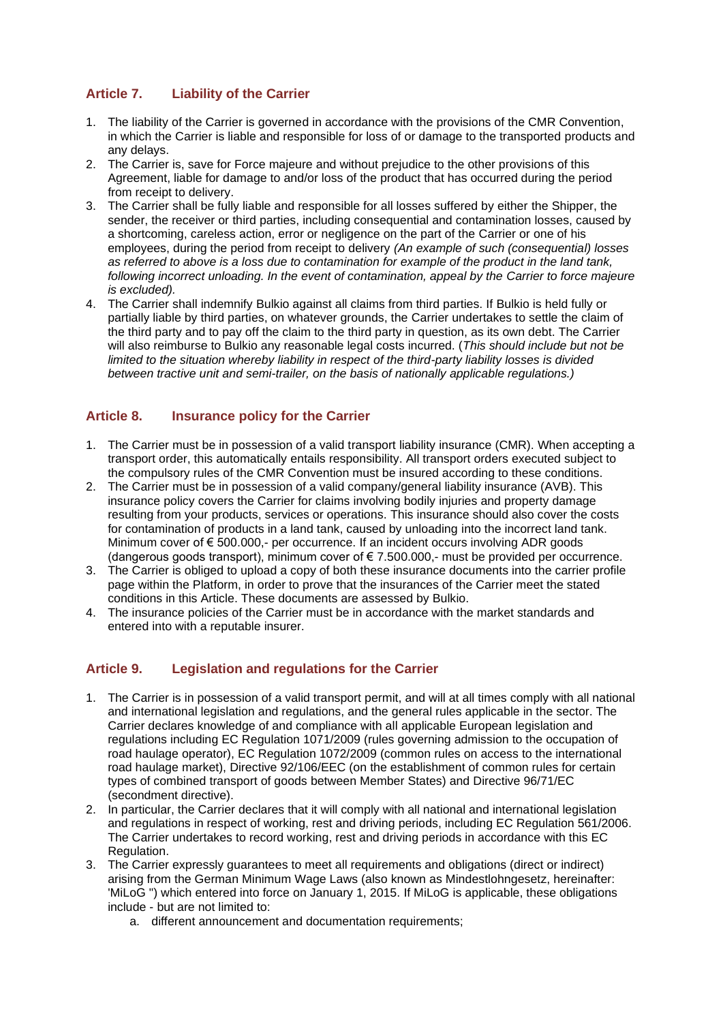# **Article 7. Liability of the Carrier**

- 1. The liability of the Carrier is governed in accordance with the provisions of the CMR Convention, in which the Carrier is liable and responsible for loss of or damage to the transported products and any delays.
- 2. The Carrier is, save for Force majeure and without prejudice to the other provisions of this Agreement, liable for damage to and/or loss of the product that has occurred during the period from receipt to delivery.
- 3. The Carrier shall be fully liable and responsible for all losses suffered by either the Shipper, the sender, the receiver or third parties, including consequential and contamination losses, caused by a shortcoming, careless action, error or negligence on the part of the Carrier or one of his employees, during the period from receipt to delivery *(An example of such (consequential) losses as referred to above is a loss due to contamination for example of the product in the land tank, following incorrect unloading. In the event of contamination, appeal by the Carrier to force majeure is excluded).*
- 4. The Carrier shall indemnify Bulkio against all claims from third parties. If Bulkio is held fully or partially liable by third parties, on whatever grounds, the Carrier undertakes to settle the claim of the third party and to pay off the claim to the third party in question, as its own debt. The Carrier will also reimburse to Bulkio any reasonable legal costs incurred. (*This should include but not be limited to the situation whereby liability in respect of the third-party liability losses is divided between tractive unit and semi-trailer, on the basis of nationally applicable regulations.)*

## **Article 8. Insurance policy for the Carrier**

- 1. The Carrier must be in possession of a valid transport liability insurance (CMR). When accepting a transport order, this automatically entails responsibility. All transport orders executed subject to the compulsory rules of the CMR Convention must be insured according to these conditions.
- 2. The Carrier must be in possession of a valid company/general liability insurance (AVB). This insurance policy covers the Carrier for claims involving bodily injuries and property damage resulting from your products, services or operations. This insurance should also cover the costs for contamination of products in a land tank, caused by unloading into the incorrect land tank. Minimum cover of € 500.000,- per occurrence. If an incident occurs involving ADR goods (dangerous goods transport), minimum cover of € 7.500.000,- must be provided per occurrence.
- 3. The Carrier is obliged to upload a copy of both these insurance documents into the carrier profile page within the Platform, in order to prove that the insurances of the Carrier meet the stated conditions in this Article. These documents are assessed by Bulkio.
- 4. The insurance policies of the Carrier must be in accordance with the market standards and entered into with a reputable insurer.

### **Article 9. Legislation and regulations for the Carrier**

- 1. The Carrier is in possession of a valid transport permit, and will at all times comply with all national and international legislation and regulations, and the general rules applicable in the sector. The Carrier declares knowledge of and compliance with all applicable European legislation and regulations including EC Regulation 1071/2009 (rules governing admission to the occupation of road haulage operator), EC Regulation 1072/2009 (common rules on access to the international road haulage market), Directive 92/106/EEC (on the establishment of common rules for certain types of combined transport of goods between Member States) and Directive 96/71/EC (secondment directive).
- 2. In particular, the Carrier declares that it will comply with all national and international legislation and regulations in respect of working, rest and driving periods, including EC Regulation 561/2006. The Carrier undertakes to record working, rest and driving periods in accordance with this EC Regulation.
- 3. The Carrier expressly guarantees to meet all requirements and obligations (direct or indirect) arising from the German Minimum Wage Laws (also known as Mindestlohngesetz, hereinafter: 'MiLoG ") which entered into force on January 1, 2015. If MiLoG is applicable, these obligations include - but are not limited to:
	- a. different announcement and documentation requirements;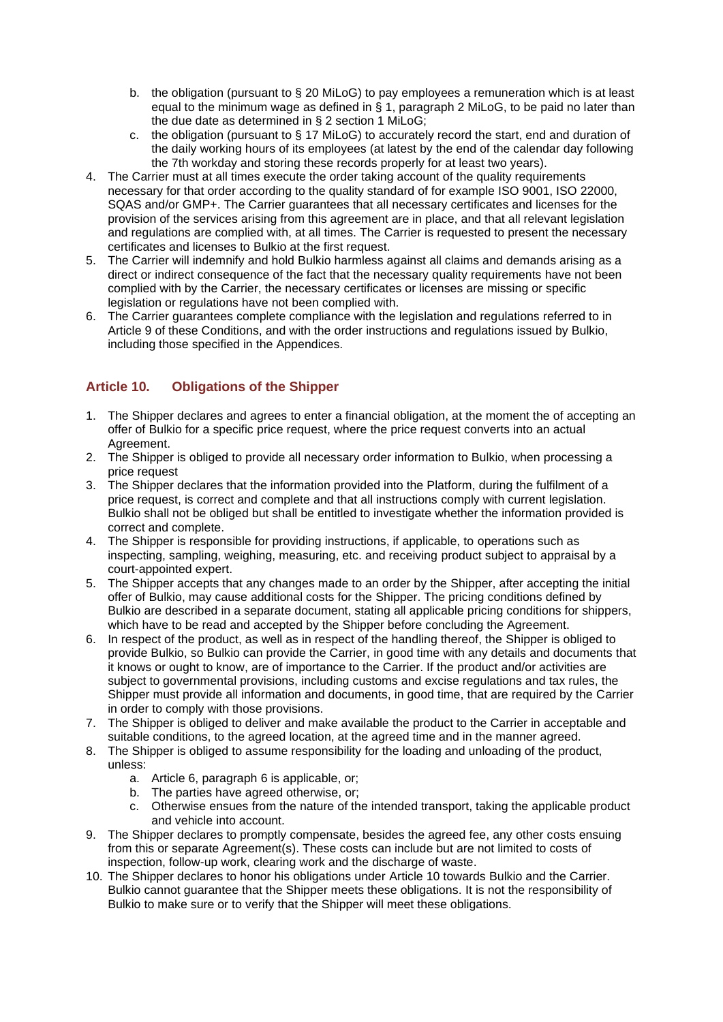- b. the obligation (pursuant to § 20 MiLoG) to pay employees a remuneration which is at least equal to the minimum wage as defined in § 1, paragraph 2 MiLoG, to be paid no later than the due date as determined in § 2 section 1 MiLoG;
- c. the obligation (pursuant to § 17 MiLoG) to accurately record the start, end and duration of the daily working hours of its employees (at latest by the end of the calendar day following the 7th workday and storing these records properly for at least two years).
- 4. The Carrier must at all times execute the order taking account of the quality requirements necessary for that order according to the quality standard of for example ISO 9001, ISO 22000, SQAS and/or GMP+. The Carrier guarantees that all necessary certificates and licenses for the provision of the services arising from this agreement are in place, and that all relevant legislation and regulations are complied with, at all times. The Carrier is requested to present the necessary certificates and licenses to Bulkio at the first request.
- 5. The Carrier will indemnify and hold Bulkio harmless against all claims and demands arising as a direct or indirect consequence of the fact that the necessary quality requirements have not been complied with by the Carrier, the necessary certificates or licenses are missing or specific legislation or regulations have not been complied with.
- 6. The Carrier guarantees complete compliance with the legislation and regulations referred to in Article 9 of these Conditions, and with the order instructions and regulations issued by Bulkio, including those specified in the Appendices.

## **Article 10. Obligations of the Shipper**

- 1. The Shipper declares and agrees to enter a financial obligation, at the moment the of accepting an offer of Bulkio for a specific price request, where the price request converts into an actual Agreement.
- 2. The Shipper is obliged to provide all necessary order information to Bulkio, when processing a price request
- 3. The Shipper declares that the information provided into the Platform, during the fulfilment of a price request, is correct and complete and that all instructions comply with current legislation. Bulkio shall not be obliged but shall be entitled to investigate whether the information provided is correct and complete.
- 4. The Shipper is responsible for providing instructions, if applicable, to operations such as inspecting, sampling, weighing, measuring, etc. and receiving product subject to appraisal by a court-appointed expert.
- 5. The Shipper accepts that any changes made to an order by the Shipper, after accepting the initial offer of Bulkio, may cause additional costs for the Shipper. The pricing conditions defined by Bulkio are described in a separate document, stating all applicable pricing conditions for shippers, which have to be read and accepted by the Shipper before concluding the Agreement.
- 6. In respect of the product, as well as in respect of the handling thereof, the Shipper is obliged to provide Bulkio, so Bulkio can provide the Carrier, in good time with any details and documents that it knows or ought to know, are of importance to the Carrier. If the product and/or activities are subject to governmental provisions, including customs and excise regulations and tax rules, the Shipper must provide all information and documents, in good time, that are required by the Carrier in order to comply with those provisions.
- 7. The Shipper is obliged to deliver and make available the product to the Carrier in acceptable and suitable conditions, to the agreed location, at the agreed time and in the manner agreed.
- 8. The Shipper is obliged to assume responsibility for the loading and unloading of the product, unless:
	- a. Article 6, paragraph 6 is applicable, or;
	- b. The parties have agreed otherwise, or;
	- c. Otherwise ensues from the nature of the intended transport, taking the applicable product and vehicle into account.
- 9. The Shipper declares to promptly compensate, besides the agreed fee, any other costs ensuing from this or separate Agreement(s). These costs can include but are not limited to costs of inspection, follow-up work, clearing work and the discharge of waste.
- 10. The Shipper declares to honor his obligations under Article 10 towards Bulkio and the Carrier. Bulkio cannot guarantee that the Shipper meets these obligations. It is not the responsibility of Bulkio to make sure or to verify that the Shipper will meet these obligations.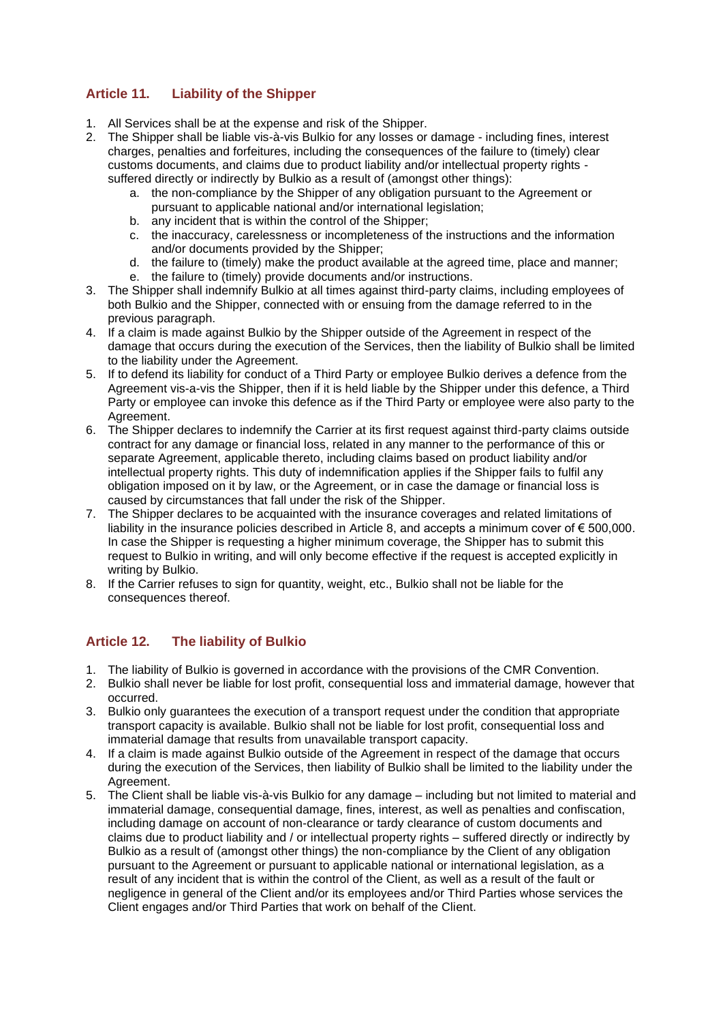# **Article 11. Liability of the Shipper**

- 1. All Services shall be at the expense and risk of the Shipper.
- 2. The Shipper shall be liable vis-à-vis Bulkio for any losses or damage including fines, interest charges, penalties and forfeitures, including the consequences of the failure to (timely) clear customs documents, and claims due to product liability and/or intellectual property rights suffered directly or indirectly by Bulkio as a result of (amongst other things):
	- a. the non-compliance by the Shipper of any obligation pursuant to the Agreement or pursuant to applicable national and/or international legislation;
	- b. any incident that is within the control of the Shipper;
	- c. the inaccuracy, carelessness or incompleteness of the instructions and the information and/or documents provided by the Shipper;
	- d. the failure to (timely) make the product available at the agreed time, place and manner;
	- e. the failure to (timely) provide documents and/or instructions.
- 3. The Shipper shall indemnify Bulkio at all times against third-party claims, including employees of both Bulkio and the Shipper, connected with or ensuing from the damage referred to in the previous paragraph.
- 4. If a claim is made against Bulkio by the Shipper outside of the Agreement in respect of the damage that occurs during the execution of the Services, then the liability of Bulkio shall be limited to the liability under the Agreement.
- 5. If to defend its liability for conduct of a Third Party or employee Bulkio derives a defence from the Agreement vis-a-vis the Shipper, then if it is held liable by the Shipper under this defence, a Third Party or employee can invoke this defence as if the Third Party or employee were also party to the Agreement.
- 6. The Shipper declares to indemnify the Carrier at its first request against third-party claims outside contract for any damage or financial loss, related in any manner to the performance of this or separate Agreement, applicable thereto, including claims based on product liability and/or intellectual property rights. This duty of indemnification applies if the Shipper fails to fulfil any obligation imposed on it by law, or the Agreement, or in case the damage or financial loss is caused by circumstances that fall under the risk of the Shipper.
- 7. The Shipper declares to be acquainted with the insurance coverages and related limitations of liability in the insurance policies described in Article 8, and accepts a minimum cover of € 500,000. In case the Shipper is requesting a higher minimum coverage, the Shipper has to submit this request to Bulkio in writing, and will only become effective if the request is accepted explicitly in writing by Bulkio.
- 8. If the Carrier refuses to sign for quantity, weight, etc., Bulkio shall not be liable for the consequences thereof.

## **Article 12. The liability of Bulkio**

- 1. The liability of Bulkio is governed in accordance with the provisions of the CMR Convention.
- 2. Bulkio shall never be liable for lost profit, consequential loss and immaterial damage, however that occurred.
- 3. Bulkio only guarantees the execution of a transport request under the condition that appropriate transport capacity is available. Bulkio shall not be liable for lost profit, consequential loss and immaterial damage that results from unavailable transport capacity.
- 4. If a claim is made against Bulkio outside of the Agreement in respect of the damage that occurs during the execution of the Services, then liability of Bulkio shall be limited to the liability under the Agreement.
- 5. The Client shall be liable vis-à-vis Bulkio for any damage including but not limited to material and immaterial damage, consequential damage, fines, interest, as well as penalties and confiscation, including damage on account of non-clearance or tardy clearance of custom documents and claims due to product liability and / or intellectual property rights – suffered directly or indirectly by Bulkio as a result of (amongst other things) the non-compliance by the Client of any obligation pursuant to the Agreement or pursuant to applicable national or international legislation, as a result of any incident that is within the control of the Client, as well as a result of the fault or negligence in general of the Client and/or its employees and/or Third Parties whose services the Client engages and/or Third Parties that work on behalf of the Client.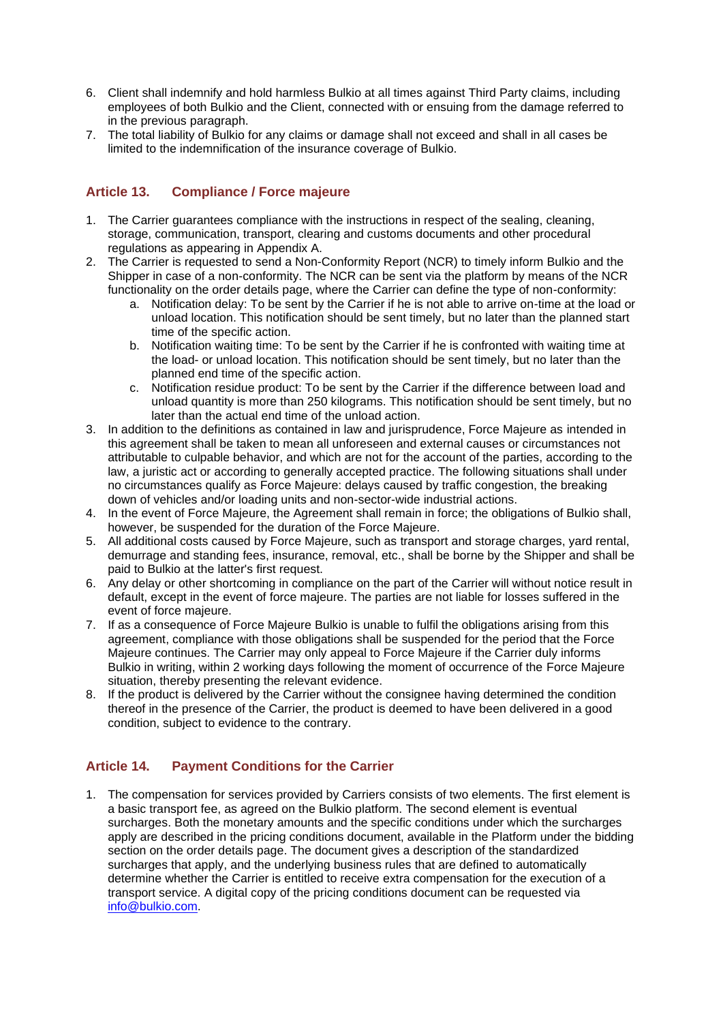- 6. Client shall indemnify and hold harmless Bulkio at all times against Third Party claims, including employees of both Bulkio and the Client, connected with or ensuing from the damage referred to in the previous paragraph.
- 7. The total liability of Bulkio for any claims or damage shall not exceed and shall in all cases be limited to the indemnification of the insurance coverage of Bulkio.

## **Article 13. Compliance / Force majeure**

- 1. The Carrier guarantees compliance with the instructions in respect of the sealing, cleaning, storage, communication, transport, clearing and customs documents and other procedural regulations as appearing in Appendix A.
- 2. The Carrier is requested to send a Non-Conformity Report (NCR) to timely inform Bulkio and the Shipper in case of a non-conformity. The NCR can be sent via the platform by means of the NCR functionality on the order details page, where the Carrier can define the type of non-conformity:
	- a. Notification delay: To be sent by the Carrier if he is not able to arrive on-time at the load or unload location. This notification should be sent timely, but no later than the planned start time of the specific action.
	- b. Notification waiting time: To be sent by the Carrier if he is confronted with waiting time at the load- or unload location. This notification should be sent timely, but no later than the planned end time of the specific action.
	- c. Notification residue product: To be sent by the Carrier if the difference between load and unload quantity is more than 250 kilograms. This notification should be sent timely, but no later than the actual end time of the unload action.
- 3. In addition to the definitions as contained in law and jurisprudence, Force Majeure as intended in this agreement shall be taken to mean all unforeseen and external causes or circumstances not attributable to culpable behavior, and which are not for the account of the parties, according to the law, a juristic act or according to generally accepted practice. The following situations shall under no circumstances qualify as Force Majeure: delays caused by traffic congestion, the breaking down of vehicles and/or loading units and non-sector-wide industrial actions.
- 4. In the event of Force Majeure, the Agreement shall remain in force; the obligations of Bulkio shall, however, be suspended for the duration of the Force Majeure.
- 5. All additional costs caused by Force Majeure, such as transport and storage charges, yard rental, demurrage and standing fees, insurance, removal, etc., shall be borne by the Shipper and shall be paid to Bulkio at the latter's first request.
- 6. Any delay or other shortcoming in compliance on the part of the Carrier will without notice result in default, except in the event of force majeure. The parties are not liable for losses suffered in the event of force majeure.
- 7. If as a consequence of Force Majeure Bulkio is unable to fulfil the obligations arising from this agreement, compliance with those obligations shall be suspended for the period that the Force Majeure continues. The Carrier may only appeal to Force Majeure if the Carrier duly informs Bulkio in writing, within 2 working days following the moment of occurrence of the Force Majeure situation, thereby presenting the relevant evidence.
- 8. If the product is delivered by the Carrier without the consignee having determined the condition thereof in the presence of the Carrier, the product is deemed to have been delivered in a good condition, subject to evidence to the contrary.

## **Article 14. Payment Conditions for the Carrier**

1. The compensation for services provided by Carriers consists of two elements. The first element is a basic transport fee, as agreed on the Bulkio platform. The second element is eventual surcharges. Both the monetary amounts and the specific conditions under which the surcharges apply are described in the pricing conditions document, available in the Platform under the bidding section on the order details page. The document gives a description of the standardized surcharges that apply, and the underlying business rules that are defined to automatically determine whether the Carrier is entitled to receive extra compensation for the execution of a transport service. A digital copy of the pricing conditions document can be requested via [info@bulkio.com.](mailto:info@bulkio.com)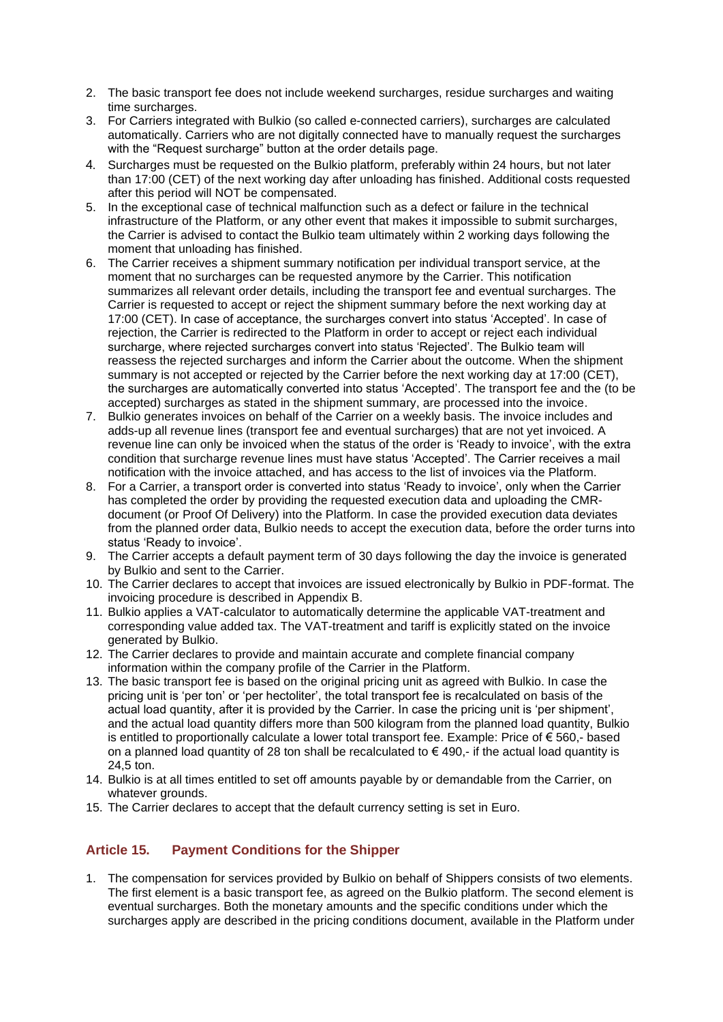- 2. The basic transport fee does not include weekend surcharges, residue surcharges and waiting time surcharges.
- 3. For Carriers integrated with Bulkio (so called e-connected carriers), surcharges are calculated automatically. Carriers who are not digitally connected have to manually request the surcharges with the "Request surcharge" button at the order details page.
- 4. Surcharges must be requested on the Bulkio platform, preferably within 24 hours, but not later than 17:00 (CET) of the next working day after unloading has finished. Additional costs requested after this period will NOT be compensated.
- 5. In the exceptional case of technical malfunction such as a defect or failure in the technical infrastructure of the Platform, or any other event that makes it impossible to submit surcharges, the Carrier is advised to contact the Bulkio team ultimately within 2 working days following the moment that unloading has finished.
- 6. The Carrier receives a shipment summary notification per individual transport service, at the moment that no surcharges can be requested anymore by the Carrier. This notification summarizes all relevant order details, including the transport fee and eventual surcharges. The Carrier is requested to accept or reject the shipment summary before the next working day at 17:00 (CET). In case of acceptance, the surcharges convert into status 'Accepted'. In case of rejection, the Carrier is redirected to the Platform in order to accept or reject each individual surcharge, where rejected surcharges convert into status 'Rejected'. The Bulkio team will reassess the rejected surcharges and inform the Carrier about the outcome. When the shipment summary is not accepted or rejected by the Carrier before the next working day at 17:00 (CET), the surcharges are automatically converted into status 'Accepted'. The transport fee and the (to be accepted) surcharges as stated in the shipment summary, are processed into the invoice.
- 7. Bulkio generates invoices on behalf of the Carrier on a weekly basis. The invoice includes and adds-up all revenue lines (transport fee and eventual surcharges) that are not yet invoiced. A revenue line can only be invoiced when the status of the order is 'Ready to invoice', with the extra condition that surcharge revenue lines must have status 'Accepted'. The Carrier receives a mail notification with the invoice attached, and has access to the list of invoices via the Platform.
- 8. For a Carrier, a transport order is converted into status 'Ready to invoice', only when the Carrier has completed the order by providing the requested execution data and uploading the CMRdocument (or Proof Of Delivery) into the Platform. In case the provided execution data deviates from the planned order data, Bulkio needs to accept the execution data, before the order turns into status 'Ready to invoice'.
- 9. The Carrier accepts a default payment term of 30 days following the day the invoice is generated by Bulkio and sent to the Carrier.
- 10. The Carrier declares to accept that invoices are issued electronically by Bulkio in PDF-format. The invoicing procedure is described in Appendix B.
- 11. Bulkio applies a VAT-calculator to automatically determine the applicable VAT-treatment and corresponding value added tax. The VAT-treatment and tariff is explicitly stated on the invoice generated by Bulkio.
- 12. The Carrier declares to provide and maintain accurate and complete financial company information within the company profile of the Carrier in the Platform.
- 13. The basic transport fee is based on the original pricing unit as agreed with Bulkio. In case the pricing unit is 'per ton' or 'per hectoliter', the total transport fee is recalculated on basis of the actual load quantity, after it is provided by the Carrier. In case the pricing unit is 'per shipment', and the actual load quantity differs more than 500 kilogram from the planned load quantity, Bulkio is entitled to proportionally calculate a lower total transport fee. Example: Price of € 560,- based on a planned load quantity of 28 ton shall be recalculated to  $\epsilon$  490,- if the actual load quantity is 24,5 ton.
- 14. Bulkio is at all times entitled to set off amounts payable by or demandable from the Carrier, on whatever grounds.
- 15. The Carrier declares to accept that the default currency setting is set in Euro.

## **Article 15. Payment Conditions for the Shipper**

1. The compensation for services provided by Bulkio on behalf of Shippers consists of two elements. The first element is a basic transport fee, as agreed on the Bulkio platform. The second element is eventual surcharges. Both the monetary amounts and the specific conditions under which the surcharges apply are described in the pricing conditions document, available in the Platform under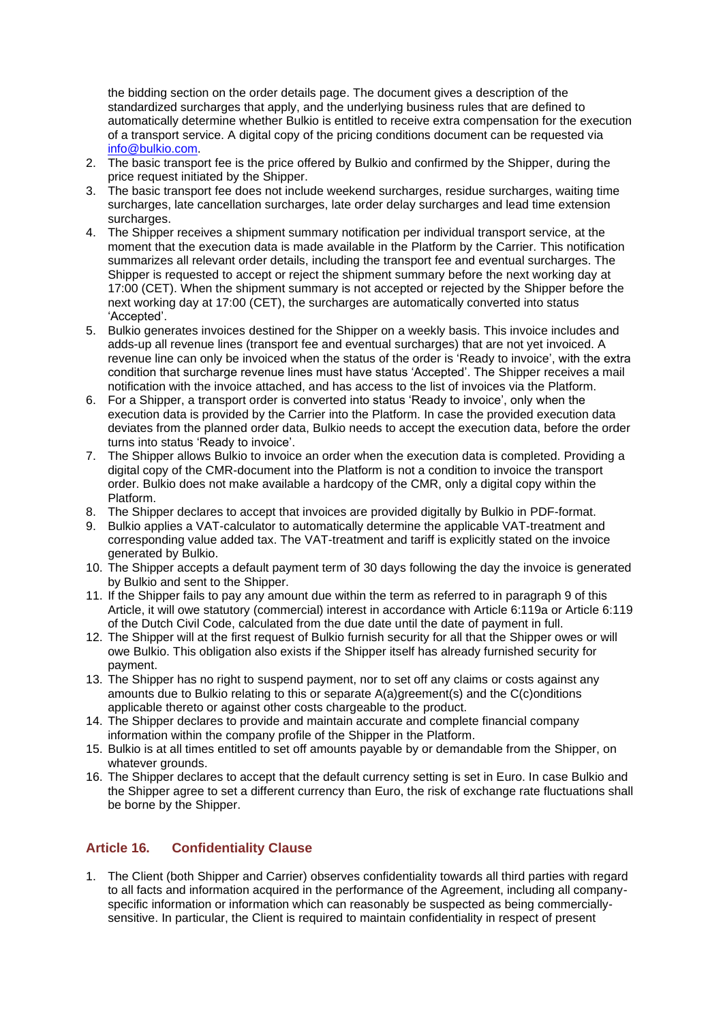the bidding section on the order details page. The document gives a description of the standardized surcharges that apply, and the underlying business rules that are defined to automatically determine whether Bulkio is entitled to receive extra compensation for the execution of a transport service. A digital copy of the pricing conditions document can be requested via [info@bulkio.com.](mailto:info@bulkio.com)

- 2. The basic transport fee is the price offered by Bulkio and confirmed by the Shipper, during the price request initiated by the Shipper.
- 3. The basic transport fee does not include weekend surcharges, residue surcharges, waiting time surcharges, late cancellation surcharges, late order delay surcharges and lead time extension surcharges.
- 4. The Shipper receives a shipment summary notification per individual transport service, at the moment that the execution data is made available in the Platform by the Carrier. This notification summarizes all relevant order details, including the transport fee and eventual surcharges. The Shipper is requested to accept or reject the shipment summary before the next working day at 17:00 (CET). When the shipment summary is not accepted or rejected by the Shipper before the next working day at 17:00 (CET), the surcharges are automatically converted into status 'Accepted'.
- 5. Bulkio generates invoices destined for the Shipper on a weekly basis. This invoice includes and adds-up all revenue lines (transport fee and eventual surcharges) that are not yet invoiced. A revenue line can only be invoiced when the status of the order is 'Ready to invoice', with the extra condition that surcharge revenue lines must have status 'Accepted'. The Shipper receives a mail notification with the invoice attached, and has access to the list of invoices via the Platform.
- 6. For a Shipper, a transport order is converted into status 'Ready to invoice', only when the execution data is provided by the Carrier into the Platform. In case the provided execution data deviates from the planned order data, Bulkio needs to accept the execution data, before the order turns into status 'Ready to invoice'.
- 7. The Shipper allows Bulkio to invoice an order when the execution data is completed. Providing a digital copy of the CMR-document into the Platform is not a condition to invoice the transport order. Bulkio does not make available a hardcopy of the CMR, only a digital copy within the Platform.
- 8. The Shipper declares to accept that invoices are provided digitally by Bulkio in PDF-format.
- 9. Bulkio applies a VAT-calculator to automatically determine the applicable VAT-treatment and corresponding value added tax. The VAT-treatment and tariff is explicitly stated on the invoice generated by Bulkio.
- 10. The Shipper accepts a default payment term of 30 days following the day the invoice is generated by Bulkio and sent to the Shipper.
- 11. If the Shipper fails to pay any amount due within the term as referred to in paragraph 9 of this Article, it will owe statutory (commercial) interest in accordance with Article 6:119a or Article 6:119 of the Dutch Civil Code, calculated from the due date until the date of payment in full.
- 12. The Shipper will at the first request of Bulkio furnish security for all that the Shipper owes or will owe Bulkio. This obligation also exists if the Shipper itself has already furnished security for payment.
- 13. The Shipper has no right to suspend payment, nor to set off any claims or costs against any amounts due to Bulkio relating to this or separate A(a)greement(s) and the C(c)onditions applicable thereto or against other costs chargeable to the product.
- 14. The Shipper declares to provide and maintain accurate and complete financial company information within the company profile of the Shipper in the Platform.
- 15. Bulkio is at all times entitled to set off amounts payable by or demandable from the Shipper, on whatever grounds.
- 16. The Shipper declares to accept that the default currency setting is set in Euro. In case Bulkio and the Shipper agree to set a different currency than Euro, the risk of exchange rate fluctuations shall be borne by the Shipper.

## **Article 16. Confidentiality Clause**

1. The Client (both Shipper and Carrier) observes confidentiality towards all third parties with regard to all facts and information acquired in the performance of the Agreement, including all companyspecific information or information which can reasonably be suspected as being commerciallysensitive. In particular, the Client is required to maintain confidentiality in respect of present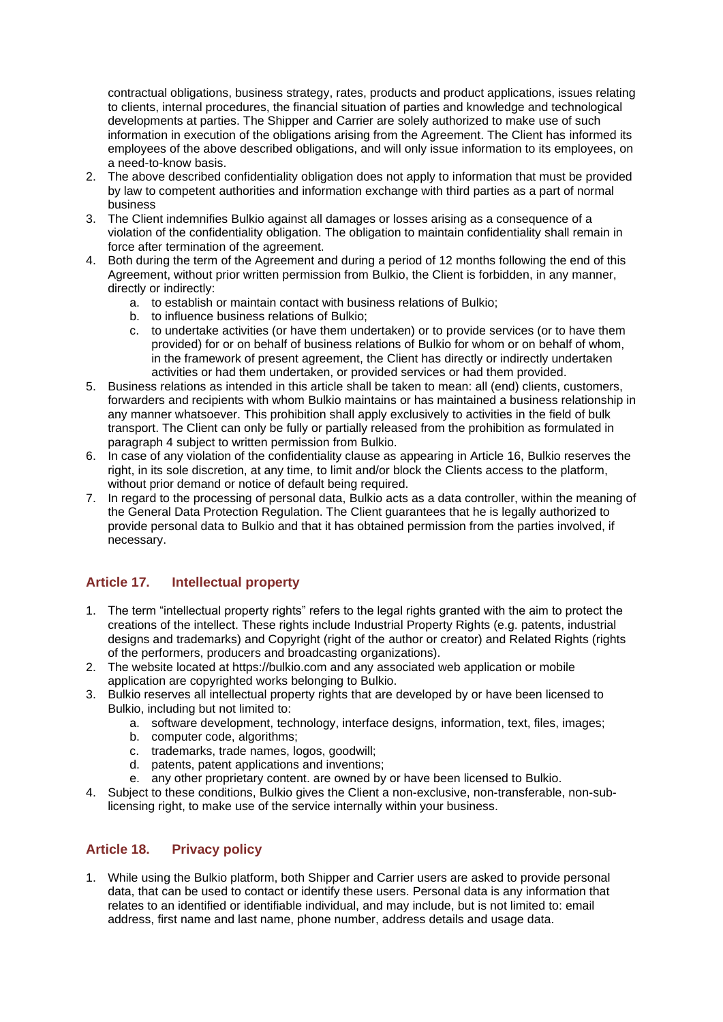contractual obligations, business strategy, rates, products and product applications, issues relating to clients, internal procedures, the financial situation of parties and knowledge and technological developments at parties. The Shipper and Carrier are solely authorized to make use of such information in execution of the obligations arising from the Agreement. The Client has informed its employees of the above described obligations, and will only issue information to its employees, on a need-to-know basis.

- 2. The above described confidentiality obligation does not apply to information that must be provided by law to competent authorities and information exchange with third parties as a part of normal business
- 3. The Client indemnifies Bulkio against all damages or losses arising as a consequence of a violation of the confidentiality obligation. The obligation to maintain confidentiality shall remain in force after termination of the agreement.
- 4. Both during the term of the Agreement and during a period of 12 months following the end of this Agreement, without prior written permission from Bulkio, the Client is forbidden, in any manner, directly or indirectly:
	- a. to establish or maintain contact with business relations of Bulkio;
	- b. to influence business relations of Bulkio;
	- c. to undertake activities (or have them undertaken) or to provide services (or to have them provided) for or on behalf of business relations of Bulkio for whom or on behalf of whom, in the framework of present agreement, the Client has directly or indirectly undertaken activities or had them undertaken, or provided services or had them provided.
- 5. Business relations as intended in this article shall be taken to mean: all (end) clients, customers, forwarders and recipients with whom Bulkio maintains or has maintained a business relationship in any manner whatsoever. This prohibition shall apply exclusively to activities in the field of bulk transport. The Client can only be fully or partially released from the prohibition as formulated in paragraph 4 subject to written permission from Bulkio.
- 6. In case of any violation of the confidentiality clause as appearing in Article 16, Bulkio reserves the right, in its sole discretion, at any time, to limit and/or block the Clients access to the platform, without prior demand or notice of default being required.
- 7. In regard to the processing of personal data, Bulkio acts as a data controller, within the meaning of the General Data Protection Regulation. The Client guarantees that he is legally authorized to provide personal data to Bulkio and that it has obtained permission from the parties involved, if necessary.

### **Article 17. Intellectual property**

- 1. The term "intellectual property rights" refers to the legal rights granted with the aim to protect the creations of the intellect. These rights include Industrial Property Rights (e.g. patents, industrial designs and trademarks) and Copyright (right of the author or creator) and Related Rights (rights of the performers, producers and broadcasting organizations).
- 2. The website located at https://bulkio.com and any associated web application or mobile application are copyrighted works belonging to Bulkio.
- 3. Bulkio reserves all intellectual property rights that are developed by or have been licensed to Bulkio, including but not limited to:
	- a. software development, technology, interface designs, information, text, files, images;
	- b. computer code, algorithms;
	- c. trademarks, trade names, logos, goodwill;
	- d. patents, patent applications and inventions;
	- e. any other proprietary content. are owned by or have been licensed to Bulkio.
- 4. Subject to these conditions, Bulkio gives the Client a non-exclusive, non-transferable, non-sublicensing right, to make use of the service internally within your business.

### **Article 18. Privacy policy**

1. While using the Bulkio platform, both Shipper and Carrier users are asked to provide personal data, that can be used to contact or identify these users. Personal data is any information that relates to an identified or identifiable individual, and may include, but is not limited to: email address, first name and last name, phone number, address details and usage data.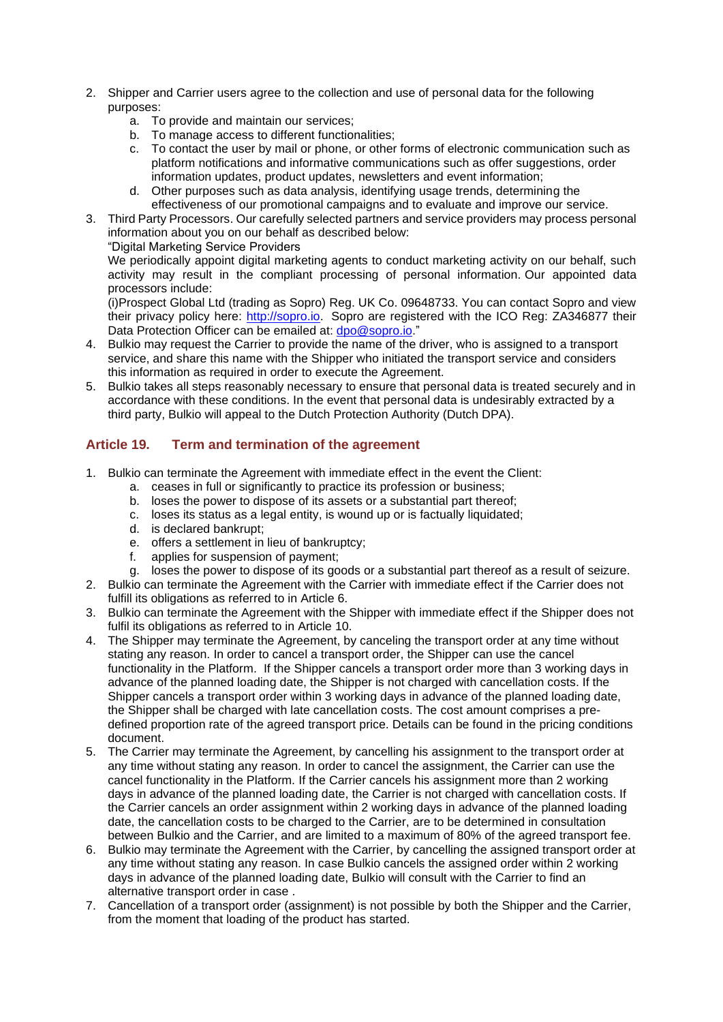- 2. Shipper and Carrier users agree to the collection and use of personal data for the following purposes:
	- a. To provide and maintain our services;
	- b. To manage access to different functionalities;
	- c. To contact the user by mail or phone, or other forms of electronic communication such as platform notifications and informative communications such as offer suggestions, order information updates, product updates, newsletters and event information;
	- d. Other purposes such as data analysis, identifying usage trends, determining the effectiveness of our promotional campaigns and to evaluate and improve our service.
- 3. Third Party Processors. Our carefully selected partners and service providers may process personal information about you on our behalf as described below:
	- "Digital Marketing Service Providers

We periodically appoint digital marketing agents to conduct marketing activity on our behalf, such activity may result in the compliant processing of personal information. Our appointed data processors include:

(i)Prospect Global Ltd (trading as Sopro) Reg. UK Co. 09648733. You can contact Sopro and view their privacy policy here: [http://sopro.io.](http://sopro.io/) Sopro are registered with the ICO Reg: ZA346877 their Data Protection Officer can be emailed at: dpo@sopro.jo."

- 4. Bulkio may request the Carrier to provide the name of the driver, who is assigned to a transport service, and share this name with the Shipper who initiated the transport service and considers this information as required in order to execute the Agreement.
- 5. Bulkio takes all steps reasonably necessary to ensure that personal data is treated securely and in accordance with these conditions. In the event that personal data is undesirably extracted by a third party, Bulkio will appeal to the Dutch Protection Authority (Dutch DPA).

## **Article 19. Term and termination of the agreement**

- 1. Bulkio can terminate the Agreement with immediate effect in the event the Client:
	- a. ceases in full or significantly to practice its profession or business;
	- b. loses the power to dispose of its assets or a substantial part thereof;
	- c. loses its status as a legal entity, is wound up or is factually liquidated;
	- d. is declared bankrupt;
	- e. offers a settlement in lieu of bankruptcy;
	- f. applies for suspension of payment;
	- g. loses the power to dispose of its goods or a substantial part thereof as a result of seizure.
- 2. Bulkio can terminate the Agreement with the Carrier with immediate effect if the Carrier does not fulfill its obligations as referred to in Article 6.
- 3. Bulkio can terminate the Agreement with the Shipper with immediate effect if the Shipper does not fulfil its obligations as referred to in Article 10.
- 4. The Shipper may terminate the Agreement, by canceling the transport order at any time without stating any reason. In order to cancel a transport order, the Shipper can use the cancel functionality in the Platform. If the Shipper cancels a transport order more than 3 working days in advance of the planned loading date, the Shipper is not charged with cancellation costs. If the Shipper cancels a transport order within 3 working days in advance of the planned loading date, the Shipper shall be charged with late cancellation costs. The cost amount comprises a predefined proportion rate of the agreed transport price. Details can be found in the pricing conditions document.
- 5. The Carrier may terminate the Agreement, by cancelling his assignment to the transport order at any time without stating any reason. In order to cancel the assignment, the Carrier can use the cancel functionality in the Platform. If the Carrier cancels his assignment more than 2 working days in advance of the planned loading date, the Carrier is not charged with cancellation costs. If the Carrier cancels an order assignment within 2 working days in advance of the planned loading date, the cancellation costs to be charged to the Carrier, are to be determined in consultation between Bulkio and the Carrier, and are limited to a maximum of 80% of the agreed transport fee.
- 6. Bulkio may terminate the Agreement with the Carrier, by cancelling the assigned transport order at any time without stating any reason. In case Bulkio cancels the assigned order within 2 working days in advance of the planned loading date, Bulkio will consult with the Carrier to find an alternative transport order in case .
- 7. Cancellation of a transport order (assignment) is not possible by both the Shipper and the Carrier, from the moment that loading of the product has started.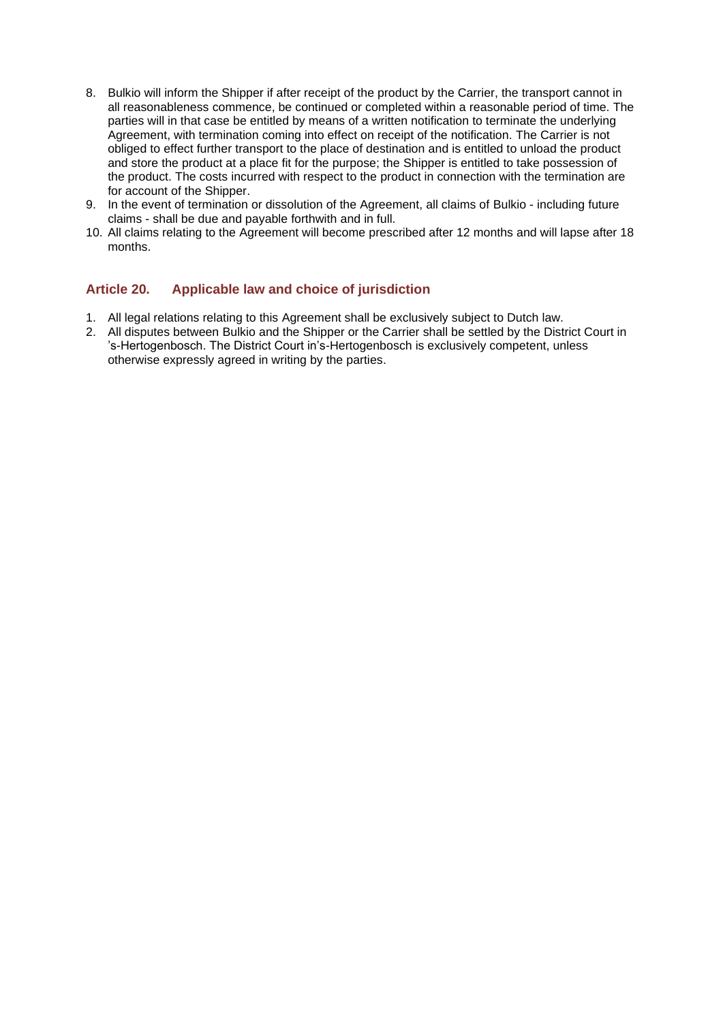- 8. Bulkio will inform the Shipper if after receipt of the product by the Carrier, the transport cannot in all reasonableness commence, be continued or completed within a reasonable period of time. The parties will in that case be entitled by means of a written notification to terminate the underlying Agreement, with termination coming into effect on receipt of the notification. The Carrier is not obliged to effect further transport to the place of destination and is entitled to unload the product and store the product at a place fit for the purpose; the Shipper is entitled to take possession of the product. The costs incurred with respect to the product in connection with the termination are for account of the Shipper.
- 9. In the event of termination or dissolution of the Agreement, all claims of Bulkio including future claims - shall be due and payable forthwith and in full.
- 10. All claims relating to the Agreement will become prescribed after 12 months and will lapse after 18 months.

### **Article 20. Applicable law and choice of jurisdiction**

- 1. All legal relations relating to this Agreement shall be exclusively subject to Dutch law.
- 2. All disputes between Bulkio and the Shipper or the Carrier shall be settled by the District Court in 's-Hertogenbosch. The District Court in's-Hertogenbosch is exclusively competent, unless otherwise expressly agreed in writing by the parties.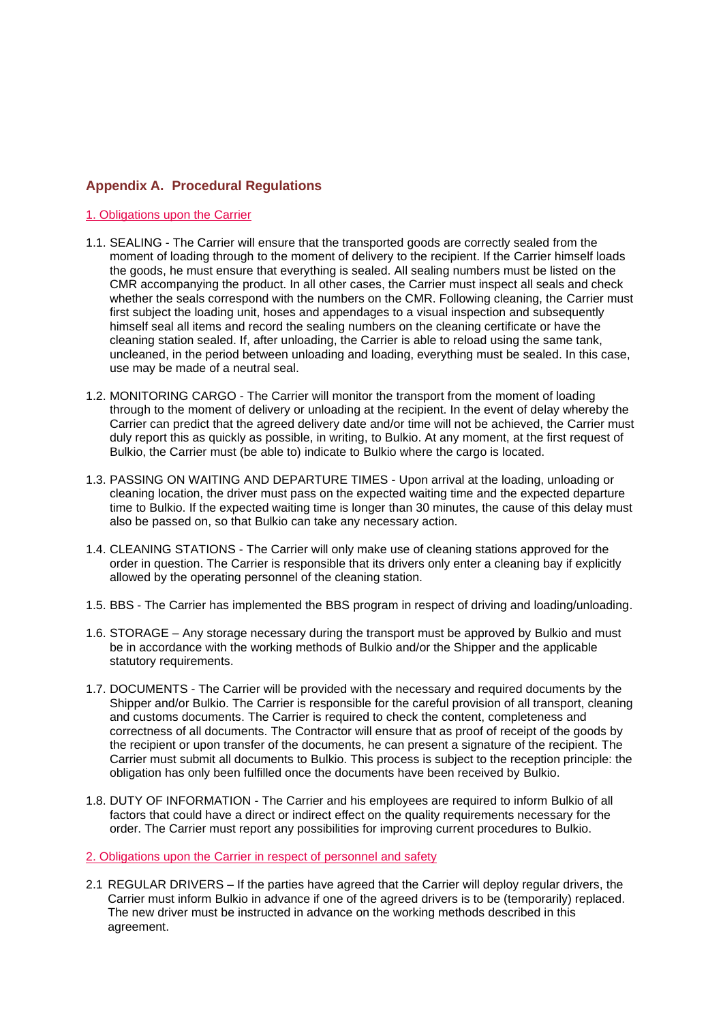#### **Appendix A. Procedural Regulations**

#### 1. Obligations upon the Carrier

- 1.1. SEALING The Carrier will ensure that the transported goods are correctly sealed from the moment of loading through to the moment of delivery to the recipient. If the Carrier himself loads the goods, he must ensure that everything is sealed. All sealing numbers must be listed on the CMR accompanying the product. In all other cases, the Carrier must inspect all seals and check whether the seals correspond with the numbers on the CMR. Following cleaning, the Carrier must first subject the loading unit, hoses and appendages to a visual inspection and subsequently himself seal all items and record the sealing numbers on the cleaning certificate or have the cleaning station sealed. If, after unloading, the Carrier is able to reload using the same tank, uncleaned, in the period between unloading and loading, everything must be sealed. In this case, use may be made of a neutral seal.
- 1.2. MONITORING CARGO The Carrier will monitor the transport from the moment of loading through to the moment of delivery or unloading at the recipient. In the event of delay whereby the Carrier can predict that the agreed delivery date and/or time will not be achieved, the Carrier must duly report this as quickly as possible, in writing, to Bulkio. At any moment, at the first request of Bulkio, the Carrier must (be able to) indicate to Bulkio where the cargo is located.
- 1.3. PASSING ON WAITING AND DEPARTURE TIMES Upon arrival at the loading, unloading or cleaning location, the driver must pass on the expected waiting time and the expected departure time to Bulkio. If the expected waiting time is longer than 30 minutes, the cause of this delay must also be passed on, so that Bulkio can take any necessary action.
- 1.4. CLEANING STATIONS The Carrier will only make use of cleaning stations approved for the order in question. The Carrier is responsible that its drivers only enter a cleaning bay if explicitly allowed by the operating personnel of the cleaning station.
- 1.5. BBS The Carrier has implemented the BBS program in respect of driving and loading/unloading.
- 1.6. STORAGE Any storage necessary during the transport must be approved by Bulkio and must be in accordance with the working methods of Bulkio and/or the Shipper and the applicable statutory requirements.
- 1.7. DOCUMENTS The Carrier will be provided with the necessary and required documents by the Shipper and/or Bulkio. The Carrier is responsible for the careful provision of all transport, cleaning and customs documents. The Carrier is required to check the content, completeness and correctness of all documents. The Contractor will ensure that as proof of receipt of the goods by the recipient or upon transfer of the documents, he can present a signature of the recipient. The Carrier must submit all documents to Bulkio. This process is subject to the reception principle: the obligation has only been fulfilled once the documents have been received by Bulkio.
- 1.8. DUTY OF INFORMATION The Carrier and his employees are required to inform Bulkio of all factors that could have a direct or indirect effect on the quality requirements necessary for the order. The Carrier must report any possibilities for improving current procedures to Bulkio.

#### 2. Obligations upon the Carrier in respect of personnel and safety

2.1 REGULAR DRIVERS – If the parties have agreed that the Carrier will deploy regular drivers, the Carrier must inform Bulkio in advance if one of the agreed drivers is to be (temporarily) replaced. The new driver must be instructed in advance on the working methods described in this agreement.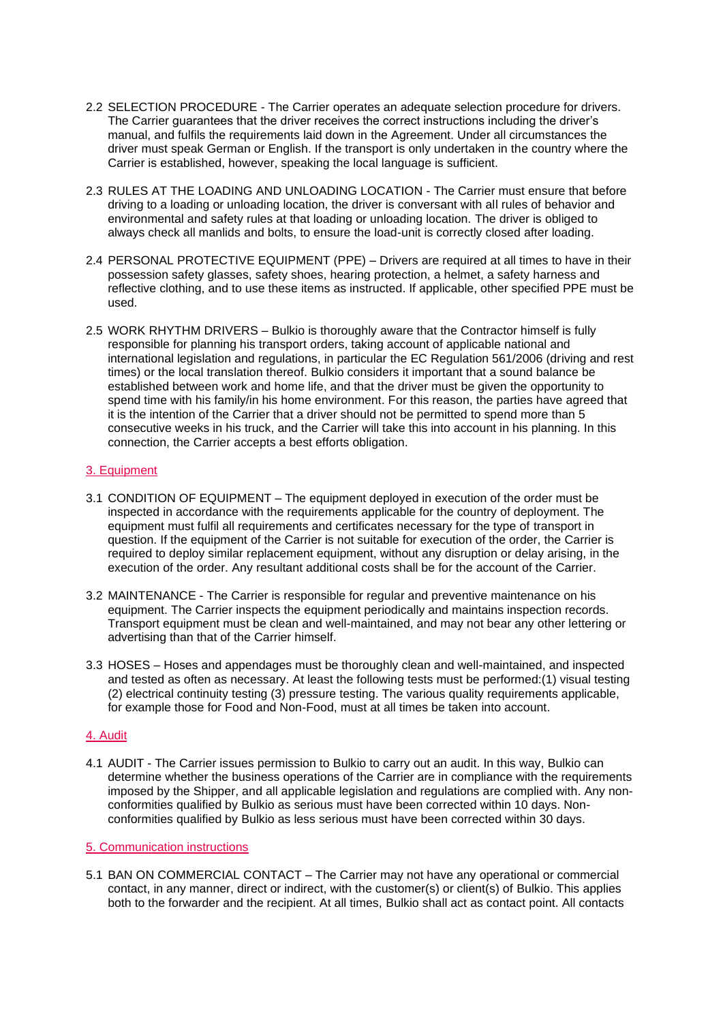- 2.2 SELECTION PROCEDURE The Carrier operates an adequate selection procedure for drivers. The Carrier guarantees that the driver receives the correct instructions including the driver's manual, and fulfils the requirements laid down in the Agreement. Under all circumstances the driver must speak German or English. If the transport is only undertaken in the country where the Carrier is established, however, speaking the local language is sufficient.
- 2.3 RULES AT THE LOADING AND UNLOADING LOCATION The Carrier must ensure that before driving to a loading or unloading location, the driver is conversant with all rules of behavior and environmental and safety rules at that loading or unloading location. The driver is obliged to always check all manlids and bolts, to ensure the load-unit is correctly closed after loading.
- 2.4 PERSONAL PROTECTIVE EQUIPMENT (PPE) Drivers are required at all times to have in their possession safety glasses, safety shoes, hearing protection, a helmet, a safety harness and reflective clothing, and to use these items as instructed. If applicable, other specified PPE must be used.
- 2.5 WORK RHYTHM DRIVERS Bulkio is thoroughly aware that the Contractor himself is fully responsible for planning his transport orders, taking account of applicable national and international legislation and regulations, in particular the EC Regulation 561/2006 (driving and rest times) or the local translation thereof. Bulkio considers it important that a sound balance be established between work and home life, and that the driver must be given the opportunity to spend time with his family/in his home environment. For this reason, the parties have agreed that it is the intention of the Carrier that a driver should not be permitted to spend more than 5 consecutive weeks in his truck, and the Carrier will take this into account in his planning. In this connection, the Carrier accepts a best efforts obligation.

#### 3. Equipment

- 3.1 CONDITION OF EQUIPMENT The equipment deployed in execution of the order must be inspected in accordance with the requirements applicable for the country of deployment. The equipment must fulfil all requirements and certificates necessary for the type of transport in question. If the equipment of the Carrier is not suitable for execution of the order, the Carrier is required to deploy similar replacement equipment, without any disruption or delay arising, in the execution of the order. Any resultant additional costs shall be for the account of the Carrier.
- 3.2 MAINTENANCE The Carrier is responsible for regular and preventive maintenance on his equipment. The Carrier inspects the equipment periodically and maintains inspection records. Transport equipment must be clean and well-maintained, and may not bear any other lettering or advertising than that of the Carrier himself.
- 3.3 HOSES Hoses and appendages must be thoroughly clean and well-maintained, and inspected and tested as often as necessary. At least the following tests must be performed:(1) visual testing (2) electrical continuity testing (3) pressure testing. The various quality requirements applicable, for example those for Food and Non-Food, must at all times be taken into account.

#### 4. Audit

4.1 AUDIT - The Carrier issues permission to Bulkio to carry out an audit. In this way, Bulkio can determine whether the business operations of the Carrier are in compliance with the requirements imposed by the Shipper, and all applicable legislation and regulations are complied with. Any nonconformities qualified by Bulkio as serious must have been corrected within 10 days. Nonconformities qualified by Bulkio as less serious must have been corrected within 30 days.

#### 5. Communication instructions

5.1 BAN ON COMMERCIAL CONTACT – The Carrier may not have any operational or commercial contact, in any manner, direct or indirect, with the customer(s) or client(s) of Bulkio. This applies both to the forwarder and the recipient. At all times, Bulkio shall act as contact point. All contacts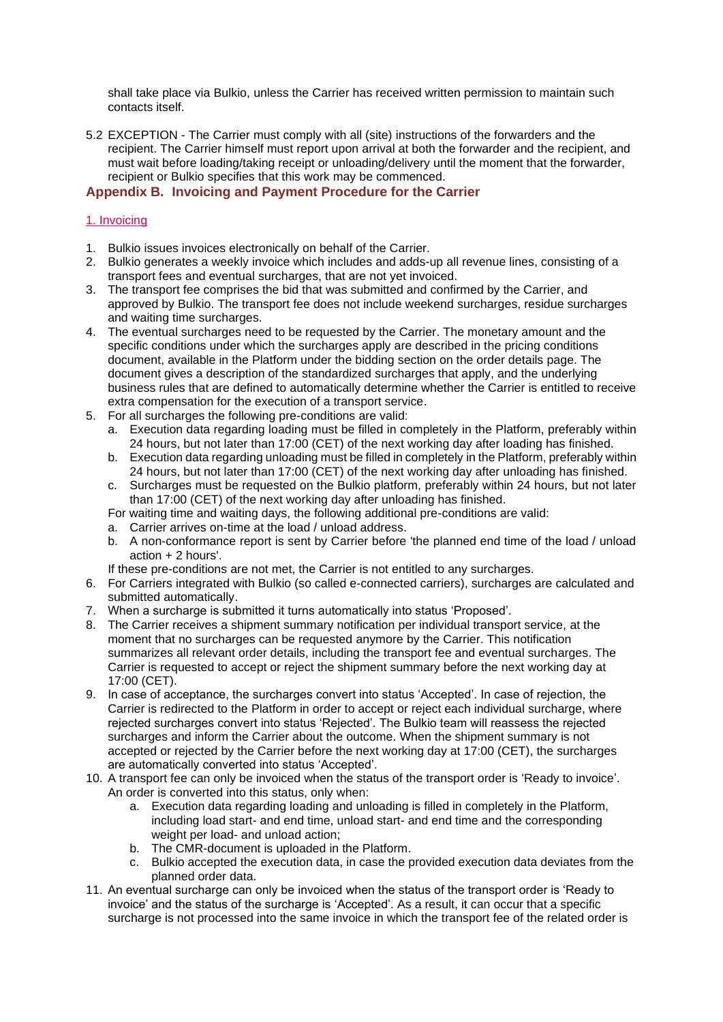shall take place via Bulkio, unless the Carrier has received written permission to maintain such contacts itself.

5.2 EXCEPTION - The Carrier must comply with all (site) instructions of the forwarders and the recipient. The Carrier himself must report upon arrival at both the forwarder and the recipient, and must wait before loading/taking receipt or unloading/delivery until the moment that the forwarder, recipient or Bulkio specifies that this work may be commenced.

#### **Appendix B. Invoicing and Payment Procedure for the Carrier**

#### 1. Invoicing

- 1. Bulkio issues invoices electronically on behalf of the Carrier.
- 2. Bulkio generates a weekly invoice which includes and adds-up all revenue lines, consisting of a transport fees and eventual surcharges, that are not yet invoiced.
- 3. The transport fee comprises the bid that was submitted and confirmed by the Carrier, and approved by Bulkio. The transport fee does not include weekend surcharges, residue surcharges and waiting time surcharges.
- 4. The eventual surcharges need to be requested by the Carrier. The monetary amount and the specific conditions under which the surcharges apply are described in the pricing conditions document, available in the Platform under the bidding section on the order details page. The document gives a description of the standardized surcharges that apply, and the underlying business rules that are defined to automatically determine whether the Carrier is entitled to receive extra compensation for the execution of a transport service.
- 5. For all surcharges the following pre-conditions are valid:
	- a. Execution data regarding loading must be filled in completely in the Platform, preferably within 24 hours, but not later than 17:00 (CET) of the next working day after loading has finished.
	- b. Execution data regarding unloading must be filled in completely in the Platform, preferably within 24 hours, but not later than 17:00 (CET) of the next working day after unloading has finished.
	- c. Surcharges must be requested on the Bulkio platform, preferably within 24 hours, but not later than 17:00 (CET) of the next working day after unloading has finished.
	- For waiting time and waiting days, the following additional pre-conditions are valid:
	- a. Carrier arrives on-time at the load / unload address.
	- b. A non-conformance report is sent by Carrier before 'the planned end time of the load / unload action + 2 hours'.
	- If these pre-conditions are not met, the Carrier is not entitled to any surcharges.
- 6. For Carriers integrated with Bulkio (so called e-connected carriers), surcharges are calculated and submitted automatically.
- 7. When a surcharge is submitted it turns automatically into status 'Proposed'.
- 8. The Carrier receives a shipment summary notification per individual transport service, at the moment that no surcharges can be requested anymore by the Carrier. This notification summarizes all relevant order details, including the transport fee and eventual surcharges. The Carrier is requested to accept or reject the shipment summary before the next working day at 17:00 (CET).
- 9. In case of acceptance, the surcharges convert into status 'Accepted'. In case of rejection, the Carrier is redirected to the Platform in order to accept or reject each individual surcharge, where rejected surcharges convert into status 'Rejected'. The Bulkio team will reassess the rejected surcharges and inform the Carrier about the outcome. When the shipment summary is not accepted or rejected by the Carrier before the next working day at 17:00 (CET), the surcharges are automatically converted into status 'Accepted'.
- 10. A transport fee can only be invoiced when the status of the transport order is 'Ready to invoice'. An order is converted into this status, only when:
	- a. Execution data regarding loading and unloading is filled in completely in the Platform, including load start- and end time, unload start- and end time and the corresponding weight per load- and unload action;
	- b. The CMR-document is uploaded in the Platform.
	- c. Bulkio accepted the execution data, in case the provided execution data deviates from the planned order data.
- 11. An eventual surcharge can only be invoiced when the status of the transport order is 'Ready to invoice' and the status of the surcharge is 'Accepted'. As a result, it can occur that a specific surcharge is not processed into the same invoice in which the transport fee of the related order is